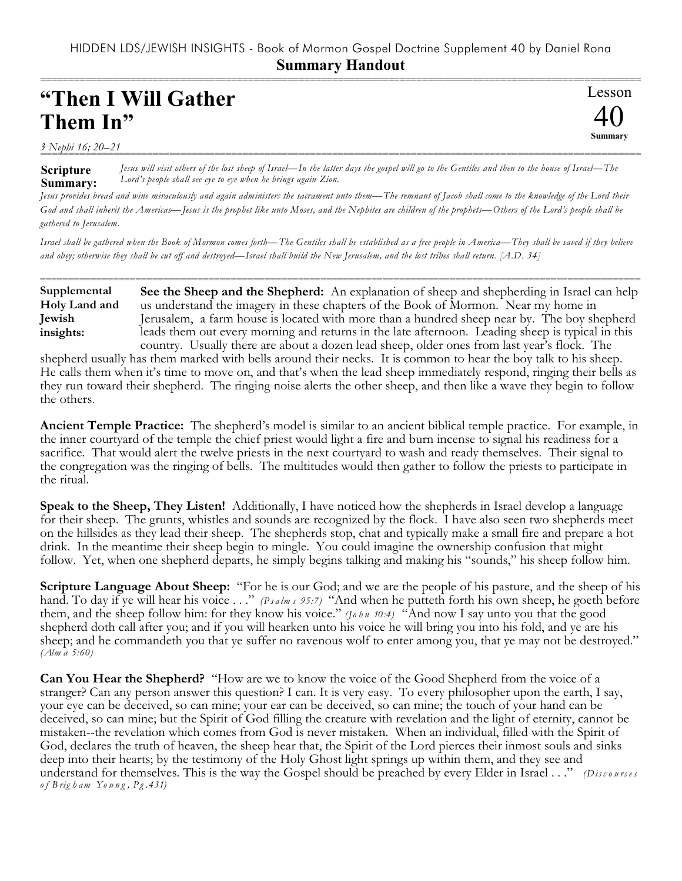===========================================================================================================

Lesson

40 **Summary**

## **"Then I Will Gather Them In"**

*3 Nephi 16; 20–21*

**Scripture Summary:** =========================================================================================================== *Jesus will visit others of the lost sheep of Israel—In the latter days the gospel will go to the Gentiles and then to the house of Israel—The Lord's people shall see eye to eye when he brings again Zion.*

*Jesus provides bread and wine miraculously and again administers the sacrament unto them—The remnant of Jacob shall come to the knowledge of the Lord their God and shall inherit the Americas—Jesus is the prophet like unto Moses, and the Nephites are children of the prophets—Others of the Lord's people shall be gathered to Jerusalem.* 

*Israel shall be gathered when the Book of Mormon comes forth—The Gentiles shall be established as a free people in America—They shall be saved if they believe and obey; otherwise they shall be cut off and destroyed—Israel shall build the New Jerusalem, and the lost tribes shall return. [A.D. 34]*

```
===========================================================================================================
                  See the Sheep and the Shepherd: An explanation of sheep and shepherding in Israel can help
                  us understand the imagery in these chapters of the Book of Mormon. Near my home in
                  Jerusalem, a farm house is located with more than a hundred sheep near by. The boy shepherd
                  leads them out every morning and returns in the late afternoon. Leading sheep is typical in this
                  country. Usually there are about a dozen lead sheep, older ones from last year's flock. The
Supplemental
Holy Land and
Jewish
insights:
```
shepherd usually has them marked with bells around their necks. It is common to hear the boy talk to his sheep. He calls them when it's time to move on, and that's when the lead sheep immediately respond, ringing their bells as they run toward their shepherd. The ringing noise alerts the other sheep, and then like a wave they begin to follow the others.

**Ancient Temple Practice:** The shepherd's model is similar to an ancient biblical temple practice. For example, in the inner courtyard of the temple the chief priest would light a fire and burn incense to signal his readiness for a sacrifice. That would alert the twelve priests in the next courtyard to wash and ready themselves. Their signal to the congregation was the ringing of bells. The multitudes would then gather to follow the priests to participate in the ritual.

**Speak to the Sheep, They Listen!** Additionally, I have noticed how the shepherds in Israel develop a language for their sheep. The grunts, whistles and sounds are recognized by the flock. I have also seen two shepherds meet on the hillsides as they lead their sheep. The shepherds stop, chat and typically make a small fire and prepare a hot drink. In the meantime their sheep begin to mingle. You could imagine the ownership confusion that might follow. Yet, when one shepherd departs, he simply begins talking and making his "sounds," his sheep follow him.

**Scripture Language About Sheep:** "For he is our God; and we are the people of his pasture, and the sheep of his hand. To day if ye will hear his voice . . ." *(P s a lm s 95:7)* "And when he putteth forth his own sheep, he goeth before them, and the sheep follow him: for they know his voice." *(Jo h n 10:4)* "And now I say unto you that the good shepherd doth call after you; and if you will hearken unto his voice he will bring you into his fold, and ye are his sheep; and he commandeth you that ye suffer no ravenous wolf to enter among you, that ye may not be destroyed." *(Alm a 5:60)*

**Can You Hear the Shepherd?** "How are we to know the voice of the Good Shepherd from the voice of a stranger? Can any person answer this question? I can. It is very easy. To every philosopher upon the earth, I say, your eye can be deceived, so can mine; your ear can be deceived, so can mine; the touch of your hand can be deceived, so can mine; but the Spirit of God filling the creature with revelation and the light of eternity, cannot be mistaken--the revelation which comes from God is never mistaken. When an individual, filled with the Spirit of God, declares the truth of heaven, the sheep hear that, the Spirit of the Lord pierces their inmost souls and sinks deep into their hearts; by the testimony of the Holy Ghost light springs up within them, and they see and understand for themselves. This is the way the Gospel should be preached by every Elder in Israel . . ." *(Discourses o f B rig h am Yo u n g , Pg .431)*